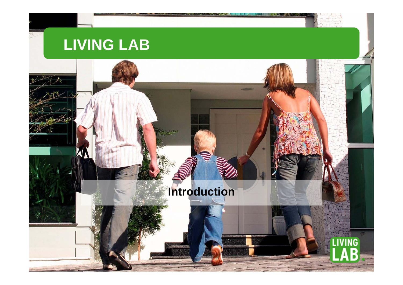#### **LIVING LAB**

#### **Introduction**

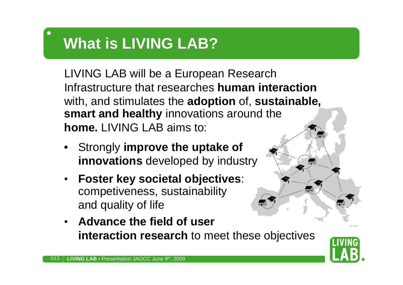# **What is LIVING LAB?**

LIVING LAB will be a European Research Infrastructure that researches **human interaction**  with, and stimulates the **adoption** of, **sustainable, smart and healthy** innovations around the **home.** LIVING LAB aims to:

- Strongly **improve the uptake of innovations** developed by industry
- **Foster key societal objectives**: competiveness, sustainability and quality of life
- **Advance the field of user interaction research** to meet these objectives

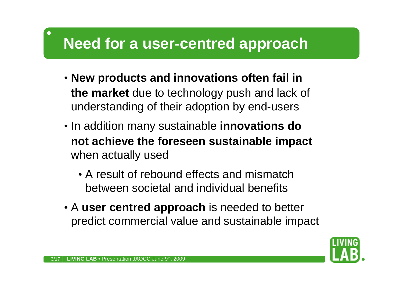#### **Need for a user-centred approach**

- **New products and innovations often fail in the market** due to technology push and lack of understanding of their adoption by end-users
- In addition many sustainable **innovations do not achieve the foreseen sustainable impact**  when actually used
	- A result of rebound effects and mismatch between societal and individual benefits
- A **user centred approach** is needed to better predict commercial value and sustainable impact

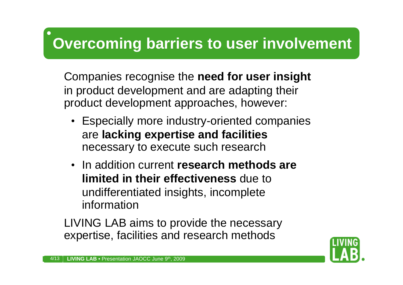## **Overcoming barriers to user involvement**

Companies recognise the **need for user insight**  in product development and are adapting their product development approaches, however:

- Especially more industry-oriented companies are **lacking expertise and facilities**  necessary to execute such research
- In addition current **research methods are limited in their effectiveness** due to undifferentiated insights, incomplete information

LIVING LAB aims to provide the necessary expertise, facilities and research methods

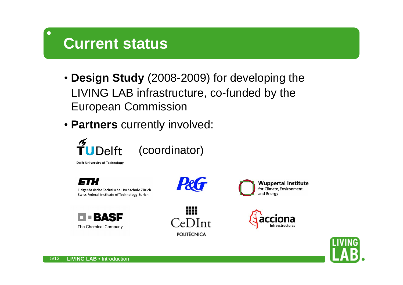#### **Current status**

- **Design Study** (2008-2009) for developing the LIVING LAB infrastructure, co-funded by the European Commission
- **Partners** currently involved:



(coordinator)

**Delft University of Technology** 

Eidgenössische Technische Hochschule Zürich Swiss Federal Institute of Technology Zurich





HH .  $\bigcap$ e $\bigcap$ Int **POLITÉCNICA** 

**Wuppertal Institute** for Climate, Environment and Energy



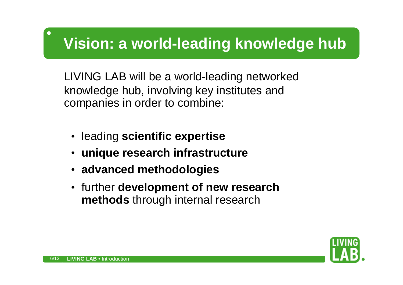## **Vision: a world-leading knowledge hub**

LIVING LAB will be a world-leading networked knowledge hub, involving key institutes and companies in order to combine:

- leading **scientific expertise**
- **unique research infrastructure**
- **advanced methodologies**
- further **development of new research methods** through internal research

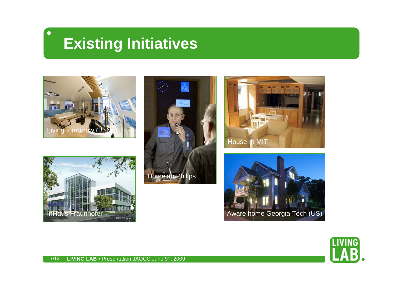### **Existing Initiatives**



 $\bigcap$ 









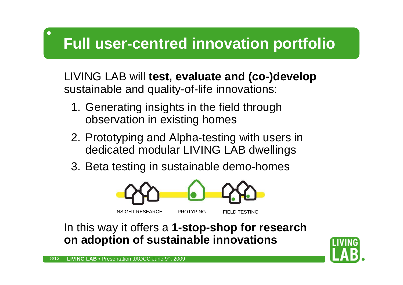# **Full user-centred innovation portfolio**

LIVING LAB will **test, evaluate and (co-)develop**  sustainable and quality-of-life innovations:

- 1. Generating insights in the field through observation in existing homes
- 2. Prototyping and Alpha-testing with users in dedicated modular LIVING LAB dwellings
- 3. Beta testing in sustainable demo-homes



In this way it offers a **1-stop-shop for research on adoption of sustainable innovations**

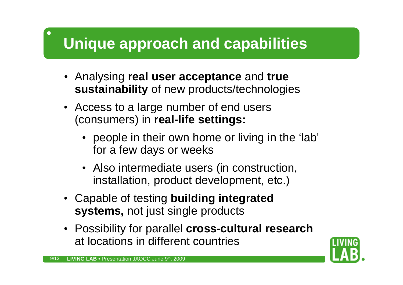## **Unique approach and capabilities**

- Analysing **real user acceptance** and **true sustainability** of new products/technologies
- Access to a large number of end users (consumers) in **real-life settings:**
	- people in their own home or living in the 'lab' for a few days or weeks
	- Also intermediate users (in construction, installation, product development, etc.)
- Capable of testing **building integrated systems,** not just single products
- Possibility for parallel **cross-cultural research**  at locations in different countries

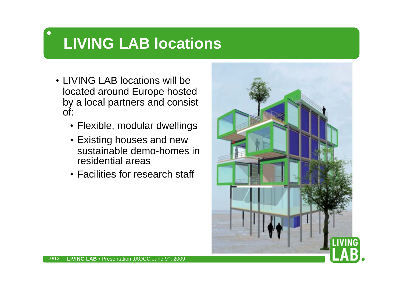# **LIVING LAB locations**

- LIVING LAB locations will be located around Europe hosted by a local partners and consist of:
	- Flexible, modular dwellings
	- Existing houses and new sustainable demo-homes in residential areas
	- Facilities for research staff

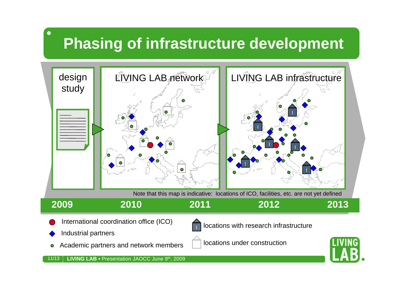# **Phasing of infrastructure development**



Academic partners and network members



locations under construction

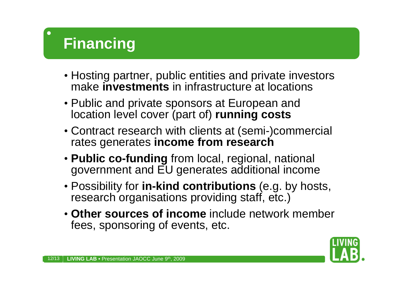# **Financing**

- Hosting partner, public entities and private investors make **investments** in infrastructure at locations
- Public and private sponsors at European and location level cover (part of) **running costs**
- Contract research with clients at (semi-)commercial rates generates **income from research**
- **Public co-funding** from local, regional, national government and EU generates additional income
- Possibility for **in-kind contributions** (e.g. by hosts, research organisations providing staff, etc.)
- **Other sources of income** include network member fees, sponsoring of events, etc.